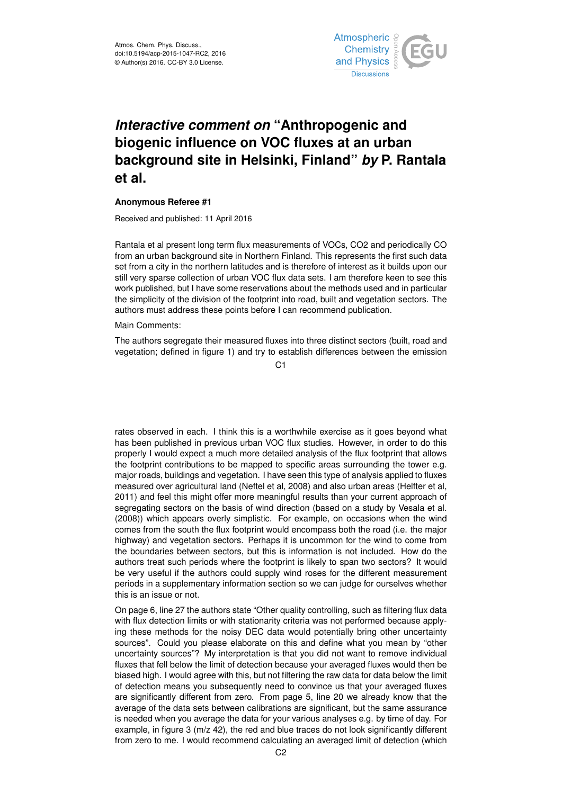

## *Interactive comment on* **"Anthropogenic and biogenic influence on VOC fluxes at an urban background site in Helsinki, Finland"** *by* **P. Rantala et al.**

## **Anonymous Referee #1**

Received and published: 11 April 2016

Rantala et al present long term flux measurements of VOCs, CO2 and periodically CO from an urban background site in Northern Finland. This represents the first such data set from a city in the northern latitudes and is therefore of interest as it builds upon our still very sparse collection of urban VOC flux data sets. I am therefore keen to see this work published, but I have some reservations about the methods used and in particular the simplicity of the division of the footprint into road, built and vegetation sectors. The authors must address these points before I can recommend publication.

Main Comments:

The authors segregate their measured fluxes into three distinct sectors (built, road and vegetation; defined in figure 1) and try to establish differences between the emission

 $C<sub>1</sub>$ 

rates observed in each. I think this is a worthwhile exercise as it goes beyond what has been published in previous urban VOC flux studies. However, in order to do this properly I would expect a much more detailed analysis of the flux footprint that allows the footprint contributions to be mapped to specific areas surrounding the tower e.g. major roads, buildings and vegetation. I have seen this type of analysis applied to fluxes measured over agricultural land (Neftel et al, 2008) and also urban areas (Helfter et al, 2011) and feel this might offer more meaningful results than your current approach of segregating sectors on the basis of wind direction (based on a study by Vesala et al. (2008)) which appears overly simplistic. For example, on occasions when the wind comes from the south the flux footprint would encompass both the road (i.e. the major highway) and vegetation sectors. Perhaps it is uncommon for the wind to come from the boundaries between sectors, but this is information is not included. How do the authors treat such periods where the footprint is likely to span two sectors? It would be very useful if the authors could supply wind roses for the different measurement periods in a supplementary information section so we can judge for ourselves whether this is an issue or not.

On page 6, line 27 the authors state "Other quality controlling, such as filtering flux data with flux detection limits or with stationarity criteria was not performed because applying these methods for the noisy DEC data would potentially bring other uncertainty sources". Could you please elaborate on this and define what you mean by "other uncertainty sources"? My interpretation is that you did not want to remove individual fluxes that fell below the limit of detection because your averaged fluxes would then be biased high. I would agree with this, but not filtering the raw data for data below the limit of detection means you subsequently need to convince us that your averaged fluxes are significantly different from zero. From page 5, line 20 we already know that the average of the data sets between calibrations are significant, but the same assurance is needed when you average the data for your various analyses e.g. by time of day. For example, in figure 3 (m/z 42), the red and blue traces do not look significantly different from zero to me. I would recommend calculating an averaged limit of detection (which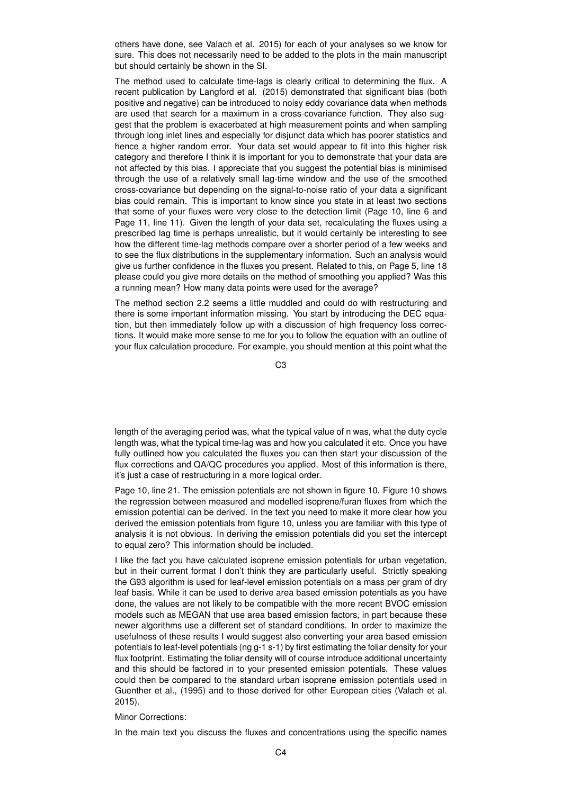others have done, see Valach et al. 2015) for each of your analyses so we know for sure. This does not necessarily need to be added to the plots in the main manuscript but should certainly be shown in the SI.

The method used to calculate time-lags is clearly critical to determining the flux. A recent publication by Langford et al. (2015) demonstrated that significant bias (both positive and negative) can be introduced to noisy eddy covariance data when methods are used that search for a maximum in a cross-covariance function. They also suggest that the problem is exacerbated at high measurement points and when sampling through long inlet lines and especially for disjunct data which has poorer statistics and hence a higher random error. Your data set would appear to fit into this higher risk category and therefore I think it is important for you to demonstrate that your data are not affected by this bias. I appreciate that you suggest the potential bias is minimised through the use of a relatively small lag-time window and the use of the smoothed cross-covariance but depending on the signal-to-noise ratio of your data a significant bias could remain. This is important to know since you state in at least two sections that some of your fluxes were very close to the detection limit (Page 10, line 6 and Page 11, line 11). Given the length of your data set, recalculating the fluxes using a prescribed lag time is perhaps unrealistic, but it would certainly be interesting to see how the different time-lag methods compare over a shorter period of a few weeks and to see the flux distributions in the supplementary information. Such an analysis would give us further confidence in the fluxes you present. Related to this, on Page 5, line 18 please could you give more details on the method of smoothing you applied? Was this a running mean? How many data points were used for the average?

The method section 2.2 seems a little muddled and could do with restructuring and there is some important information missing. You start by introducing the DEC equation, but then immediately follow up with a discussion of high frequency loss corrections. It would make more sense to me for you to follow the equation with an outline of your flux calculation procedure. For example, you should mention at this point what the

C3

length of the averaging period was, what the typical value of n was, what the duty cycle length was, what the typical time-lag was and how you calculated it etc. Once you have fully outlined how you calculated the fluxes you can then start your discussion of the flux corrections and QA/QC procedures you applied. Most of this information is there, it's just a case of restructuring in a more logical order.

Page 10, line 21. The emission potentials are not shown in figure 10. Figure 10 shows the regression between measured and modelled isoprene/furan fluxes from which the emission potential can be derived. In the text you need to make it more clear how you derived the emission potentials from figure 10, unless you are familiar with this type of analysis it is not obvious. In deriving the emission potentials did you set the intercept to equal zero? This information should be included.

I like the fact you have calculated isoprene emission potentials for urban vegetation, but in their current format I don't think they are particularly useful. Strictly speaking the G93 algorithm is used for leaf-level emission potentials on a mass per gram of dry leaf basis. While it can be used to derive area based emission potentials as you have done, the values are not likely to be compatible with the more recent BVOC emission models such as MEGAN that use area based emission factors, in part because these newer algorithms use a different set of standard conditions. In order to maximize the usefulness of these results I would suggest also converting your area based emission potentials to leaf-level potentials (ng g-1 s-1) by first estimating the foliar density for your flux footprint. Estimating the foliar density will of course introduce additional uncertainty and this should be factored in to your presented emission potentials. These values could then be compared to the standard urban isoprene emission potentials used in Guenther et al., (1995) and to those derived for other European cities (Valach et al. 2015).

## Minor Corrections:

In the main text you discuss the fluxes and concentrations using the specific names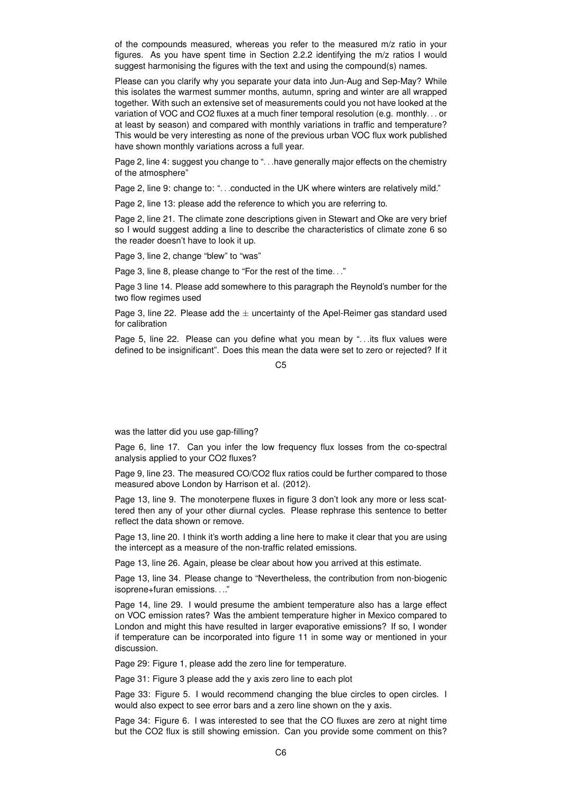of the compounds measured, whereas you refer to the measured m/z ratio in your figures. As you have spent time in Section 2.2.2 identifying the m/z ratios I would suggest harmonising the figures with the text and using the compound(s) names.

Please can you clarify why you separate your data into Jun-Aug and Sep-May? While this isolates the warmest summer months, autumn, spring and winter are all wrapped together. With such an extensive set of measurements could you not have looked at the variation of VOC and CO2 fluxes at a much finer temporal resolution (e.g. monthly. . . or at least by season) and compared with monthly variations in traffic and temperature? This would be very interesting as none of the previous urban VOC flux work published have shown monthly variations across a full year.

Page 2, line 4: suggest you change to "... have generally major effects on the chemistry of the atmosphere"

Page 2, line 9: change to: "...conducted in the UK where winters are relatively mild."

Page 2, line 13: please add the reference to which you are referring to.

Page 2, line 21. The climate zone descriptions given in Stewart and Oke are very brief so I would suggest adding a line to describe the characteristics of climate zone 6 so the reader doesn't have to look it up.

Page 3, line 2, change "blew" to "was"

Page 3, line 8, please change to "For the rest of the time. . ."

Page 3 line 14. Please add somewhere to this paragraph the Reynold's number for the two flow regimes used

Page 3, line 22. Please add the  $\pm$  uncertainty of the Apel-Reimer gas standard used for calibration

Page 5, line 22. Please can you define what you mean by "...its flux values were defined to be insignificant". Does this mean the data were set to zero or rejected? If it

 $C<sub>5</sub>$ 

was the latter did you use gap-filling?

Page 6, line 17. Can you infer the low frequency flux losses from the co-spectral analysis applied to your CO2 fluxes?

Page 9, line 23. The measured CO/CO2 flux ratios could be further compared to those measured above London by Harrison et al. (2012).

Page 13, line 9. The monoterpene fluxes in figure 3 don't look any more or less scattered then any of your other diurnal cycles. Please rephrase this sentence to better reflect the data shown or remove.

Page 13, line 20. I think it's worth adding a line here to make it clear that you are using the intercept as a measure of the non-traffic related emissions.

Page 13, line 26. Again, please be clear about how you arrived at this estimate.

Page 13, line 34. Please change to "Nevertheless, the contribution from non-biogenic isoprene+furan emissions. . .."

Page 14, line 29. I would presume the ambient temperature also has a large effect on VOC emission rates? Was the ambient temperature higher in Mexico compared to London and might this have resulted in larger evaporative emissions? If so, I wonder if temperature can be incorporated into figure 11 in some way or mentioned in your discussion.

Page 29: Figure 1, please add the zero line for temperature.

Page 31: Figure 3 please add the y axis zero line to each plot

Page 33: Figure 5. I would recommend changing the blue circles to open circles. I would also expect to see error bars and a zero line shown on the y axis.

Page 34: Figure 6. I was interested to see that the CO fluxes are zero at night time but the CO2 flux is still showing emission. Can you provide some comment on this?